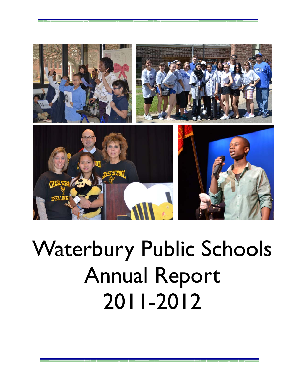

# Waterbury Public Schools Annual Report 2011-2012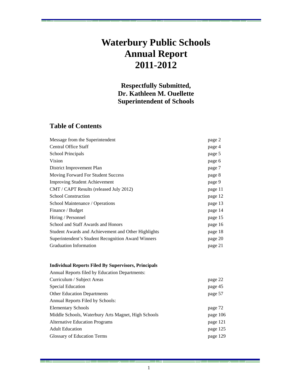## **Waterbury Public Schools Annual Report 2011-2012**

**Respectfully Submitted, Dr. Kathleen M. Ouellette Superintendent of Schools** 

## **Table of Contents**

| Message from the Superintendent                                                                              | page 2  |
|--------------------------------------------------------------------------------------------------------------|---------|
| Central Office Staff                                                                                         | page 4  |
| <b>School Principals</b>                                                                                     | page 5  |
| Vision                                                                                                       | page 6  |
| District Improvement Plan                                                                                    | page 7  |
| Moving Forward For Student Success                                                                           | page 8  |
| <b>Improving Student Achievement</b>                                                                         | page 9  |
| CMT / CAPT Results (released July 2012)                                                                      | page 11 |
| <b>School Construction</b>                                                                                   | page 12 |
| School Maintenance / Operations                                                                              | page 13 |
| Finance / Budget                                                                                             | page 14 |
| Hiring / Personnel                                                                                           | page 15 |
| School and Staff Awards and Honors                                                                           | page 16 |
| Student Awards and Achievement and Other Highlights                                                          | page 18 |
| Superintendent's Student Recognition Award Winners                                                           | page 20 |
| Graduation Information                                                                                       | page 21 |
| <b>Individual Reports Filed By Supervisors, Principals</b><br>Annual Reports filed by Education Departments: |         |
|                                                                                                              |         |

| Allingal Reports fried by Equication Departments.   |          |
|-----------------------------------------------------|----------|
| Curriculum / Subject Areas                          | page 22  |
| Special Education                                   | page 45  |
| <b>Other Education Departments</b>                  | page 57  |
| Annual Reports Filed by Schools:                    |          |
| <b>Elementary Schools</b>                           | page 72  |
| Middle Schools, Waterbury Arts Magnet, High Schools | page 106 |
| <b>Alternative Education Programs</b>               | page 121 |
| <b>Adult Education</b>                              | page 125 |
| Glossary of Education Terms                         | page 129 |
|                                                     |          |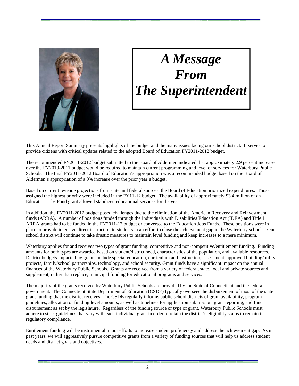

## *A Message From The Superintendent*

This Annual Report Summary presents highlights of the budget and the many issues facing our school district. It serves to provide citizens with critical updates related to the adopted Board of Education FY2011-2012 budget.

The recommended FY2011-2012 budget submitted to the Board of Aldermen indicated that approximately 2.9 percent increase over the FY2010-2011 budget would be required to maintain current programming and level of services for Waterbury Public Schools. The final FY2011-2012 Board of Education's appropriation was a recommended budget based on the Board of Aldermen's appropriation of a 0% increase over the prior year's budget.

Based on current revenue projections from state and federal sources, the Board of Education prioritized expenditures. Those assigned the highest priority were included in the FY11-12 budget. The availability of approximately \$3.4 million of an Education Jobs Fund grant allowed stabilized educational services for the year.

In addition, the FY2011-2012 budget posed challenges due to the elimination of the American Recovery and Reinvestment funds (ARRA). A number of positions funded through the Individuals with Disabilities Education Act (IDEA) and Title I ARRA grants had to be funded in the FY2011-12 budget or converted to the Education Jobs Funds. These positions were in place to provide intensive direct instruction to students in an effort to close the achievement gap in the Waterbury schools. Our school district will continue to take drastic measures to maintain level funding and keep increases to a mere minimum.

Waterbury applies for and receives two types of grant funding: competitive and non-competitive/entitlement funding. Funding amounts for both types are awarded based on student/district need, characteristics of the population, and available resources. District budgets impacted by grants include special education, curriculum and instruction, assessment, approved building/utility projects, family/school partnerships, technology, and school security. Grant funds have a significant impact on the annual finances of the Waterbury Public Schools. Grants are received from a variety of federal, state, local and private sources and supplement, rather than replace, municipal funding for educational programs and services.

The majority of the grants received by Waterbury Public Schools are provided by the State of Connecticut and the federal government. The Connecticut State Department of Education (CSDE) typically oversees the disbursement of most of the state grant funding that the district receives. The CSDE regularly informs public school districts of grant availability, program guidelines, allocation or funding level amounts, as well as timelines for application submission, grant reporting, and fund disbursement as set by the legislature. Regardless of the funding source or type of grant, Waterbury Public Schools must adhere to strict guidelines that vary with each individual grant in order to retain the district's eligibility status to remain in regulatory compliance.

Entitlement funding will be instrumental in our efforts to increase student proficiency and address the achievement gap. As in past years, we will aggressively pursue competitive grants from a variety of funding sources that will help us address student needs and district goals and objectives.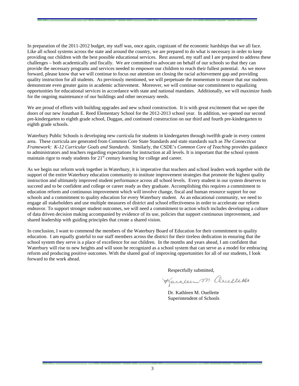In preparation of the 2011-2012 budget, my staff was, once again, cognizant of the economic hardships that we all face. Like all school systems across the state and around the country, we are prepared to do what is necessary in order to keep providing our children with the best possible educational services. Rest assured, my staff and I are prepared to address these challenges – both academically and fiscally. We are committed to advocate on behalf of our schools so that they can provide the necessary programs and services needed to empower our children to reach their fullest potential. As we move forward, please know that we will continue to focus our attention on closing the racial achievement gap and providing quality instruction for all students. As previously mentioned, we will perpetuate the momentum to ensure that our students demonstrate even greater gains in academic achievement. Moreover, we will continue our commitment to equalizing opportunities for educational services in accordance with state and national mandates. Additionally, we will maximize funds for the ongoing maintenance of our buildings and other necessary needs.

We are proud of efforts with building upgrades and new school construction. It is with great excitement that we open the doors of our new Jonathan E. Reed Elementary School for the 2012-2013 school year. In addition, we opened our second pre-kindergarten to eighth grade school, Duggan, and continued construction on our third and fourth pre-kindergarten to eighth grade schools.

Waterbury Public Schools is developing new curricula for students in kindergarten through twelfth grade in every content area. These curricula are generated from Common Core State Standards and state standards such as *The Connecticut Framework: K-12 Curricular Goals and Standards.* Similarly, the CSDE's *Common Core of Teaching* provides guidance to administrators and teachers regarding expectations for instruction at all levels. It is important that the school system maintain rigor to ready students for  $21<sup>st</sup>$  century learning for college and career.

As we begin our reform work together in Waterbury, it is imperative that teachers and school leaders work together with the support of the entire Waterbury education community to institute improvement strategies that promote the highest quality instruction and ultimately improved student performance across all school levels. Every student in our system deserves to succeed and to be confident and college or career ready as they graduate. Accomplishing this requires a commitment to education reform and continuous improvement which will involve change, fiscal and human resource support for our schools and a commitment to quality education for every Waterbury student. As an educational community, we need to engage all stakeholders and use multiple measures of district and school effectiveness in order to accelerate our reform endeavor. To support stronger student outcomes, we will need a commitment to action which includes developing a culture of data driven decision making accompanied by evidence of its use, policies that support continuous improvement, and shared leadership with guiding principles that create a shared vision.

In conclusion, I want to commend the members of the Waterbury Board of Education for their commitment to quality education. I am equally grateful to our staff members across the district for their tireless dedication in ensuring that the school system they serve is a place of excellence for our children. In the months and years ahead, I am confident that Waterbury will rise to new heights and will soon be recognized as a school system that can serve as a model for embracing reform and producing positive outcomes. With the shared goal of improving opportunities for all of our students, I look forward to the work ahead.

Respectfully submitted,

Karneen M auchette

 Dr. Kathleen M. Ouellette Superintendent of Schools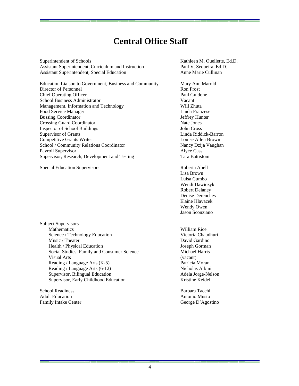## **Central Office Staff**

Superintendent of Schools **Kathleen M. Ouellette, Ed.D.** Assistant Superintendent, Curriculum and Instruction Paul V. Sequeira, Ed.D. Assistant Superintendent, Special Education Anne Marie Cullinan

Education Liaison to Government, Business and Community Mary Ann Marold Director of Personnel Ron Frost Chief Operating Officer **Paul Guidone** Paul Guidone School Business Administrator Vacant Management, Information and Technology Will Zhuta Food Service Manager Linda Franzese Bussing Coordinator and the United States of the United States of Telecommunity and Jeffrey Hunter Crossing Guard Coordinator Nate Jones Inspector of School Buildings John Cross Supervisor of Grants Linda Riddick-Barron Competitive Grants Writer **Louise Allen Brown** School / Community Relations Coordinator Nancy Dzija Vaughan Payroll Supervisor Alyce Cass Supervisor, Research, Development and Testing Tara Battistoni

Special Education Supervisors **Roberta** Abell

Subject Supervisors Mathematics William Rice Science / Technology Education Victoria Chaudhuri Music / Theater David Gardino Health / Physical Education Joseph Gorman Social Studies, Family and Consumer Science Michael Harris Visual Arts (vacant) Reading / Language Arts (K-5) Patricia Moran Reading / Language Arts (6-12) Nicholas Albini Supervisor, Bilingual Education **Adela Jorge-Nelson** Adela Jorge-Nelson Supervisor, Early Childhood Education Kristine Keidel

School Readiness Barbara Tacchi Adult Education Antonio Musto Family Intake Center George D'Agostino

 Lisa Brown Luisa Cumbo Wendi Dawiczyk Robert Delaney Denise Derenches Elaine Hlavacek Wendy Owen Jason Sconziano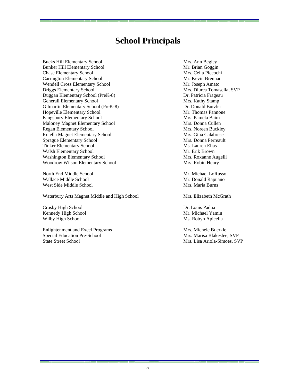## **School Principals**

Bucks Hill Elementary School Mrs. Ann Begley Bunker Hill Elementary School Mr. Brian Goggin<br>
Chase Elementary School Mrs. Celia Piccochi Chase Elementary School Carrington Elementary School Mr. Kevin Brennan Wendell Cross Elementary School Mr. Joseph Amato Driggs Elementary School Mrs. Diurca Tomasella, SVP Duggan Elementary School (PreK-8) Dr. Patricia Frageau Generali Elementary School **Mrs. Kathy Stamp** Gilmartin Elementary School (PreK-8) Dr. Donald Burzler Hopeville Elementary School **Mr. Thomas Pannone** Kingsbury Elementary School Mrs. Pamela Baim Maloney Magnet Elementary School Mrs. Donna Cullen Regan Elementary School Mrs. Noreen Buckley Rotella Magnet Elementary School Mrs. Gina Calabrese Sprague Elementary School Mrs. Donna Perreault Tinker Elementary School Ms. Lauren Elias Walsh Elementary School and Mr. Erik Brown Washington Elementary School Mrs. Roxanne Augelli Woodrow Wilson Elementary School Mrs. Robin Henry

North End Middle School Mr. Michael LoRusso Wallace Middle School **Mr. Donald Rapuano** Mr. Donald Rapuano West Side Middle School **Mrs. Maria Burns** Mrs. Maria Burns

Waterbury Arts Magnet Middle and High School Mrs. Elizabeth McGrath

Crosby High School Dr. Louis Padua Kennedy High School Mr. Michael Yamin Wilby High School Ms. Robyn Apicella

Enlightenment and Excel Programs Mrs. Michele Buerkle Special Education Pre-School Mrs. Marisa Blakeslee, SVP<br>State Street School Mrs. Lisa Ariola-Simoes. SV

Mrs. Lisa Ariola-Simoes, SVP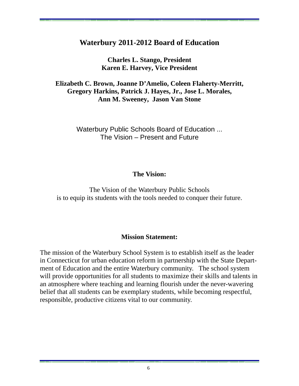## **Waterbury 2011-2012 Board of Education**

**Charles L. Stango, President Karen E. Harvey, Vice President** 

**Elizabeth C. Brown, Joanne D'Amelio, Coleen Flaherty-Merritt, Gregory Harkins, Patrick J. Hayes, Jr., Jose L. Morales, Ann M. Sweeney, Jason Van Stone** 

> Waterbury Public Schools Board of Education ... The Vision – Present and Future

## **The Vision:**

The Vision of the Waterbury Public Schools is to equip its students with the tools needed to conquer their future.

## **Mission Statement:**

The mission of the Waterbury School System is to establish itself as the leader in Connecticut for urban education reform in partnership with the State Department of Education and the entire Waterbury community. The school system will provide opportunities for all students to maximize their skills and talents in an atmosphere where teaching and learning flourish under the never-wavering belief that all students can be exemplary students, while becoming respectful, responsible, productive citizens vital to our community.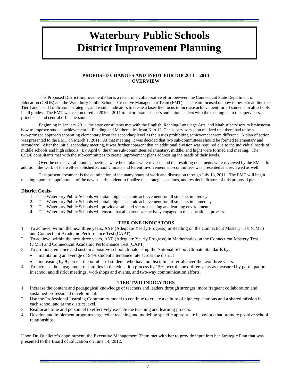## **Waterbury Public Schools District Improvement Planning**

#### **PROPOSED CHANGES AND INPUT FOR DIP 2011 – 2014 OVERVIEW**

This Proposed District Improvement Plan is a result of a collaborative effort between the Connecticut State Department of Education (CSDE) and the Waterbury Public Schools Executive Management Team (EMT). The team focused on how to best streamline the Tier I and Tier II indicators, strategies, and results indicators to create a laser-like focus to increase achievement for all students in all schools in all grades. The EMT was restructured in 2010 – 2011 to incorporate teachers and union leaders with the existing team of supervisors, principals, and central office personnel.

 Beginning in January 2011, the state consultants met with the English, Reading/Language Arts, and Math supervisors to brainstorm how to improve student achievement in Reading and Mathematics from K to 12. The supervisors soon realized that there had to be a two-pronged approach separating elementary from the secondary level as the issues prohibiting achievement were different. A plan of action was presented to the EMT on March 1, 2011. At that meeting, it was decided that two sub-committees should be formed (elementary and secondary). After the initial secondary meeting, it was further apparent that an additional division was required due to the individual needs of middle schools and high schools. By April 6, the three sub-committees (elementary, middle, and high) were formed and meeting. The CSDE consultants met with the sub-committees to create improvement plans addressing the needs of their levels.

 Over the next several months, meetings were held, plans were revised, and the resulting documents were reviewed by the EMT. In addition, the work of the well-established School Climate and Parent Involvement sub-committees was presented and reviewed as well.

This present document is the culmination of the many hours of work and discussion through July 13, 2011. The EMT will begin meeting upon the appointment of the new superintendent to finalize the strategies, actions, and results indicators of this proposed plan.

#### **District Goals-**

- 1. The Waterbury Public Schools will attain high academic achievement for all students in literacy.
- 2. The Waterbury Public Schools will attain high academic achievement for all students in numeracy.
- 3. The Waterbury Public Schools will provide a safe and secure teaching and learning environment.
- 4. The Waterbury Public Schools will ensure that all parents are actively engaged in the educational process.

#### **TIER ONE INDICATORS**

- 1. To achieve, within the next three years, AYP (Adequate Yearly Progress) in Reading on the Connecticut Mastery Test (CMT) and Connecticut Academic Performance Test (CAPT)
- 2. To achieve, within the next three years, AYP (Adequate Yearly Progress) in Mathematics on the Connecticut Mastery Test (CMT) and Connecticut Academic Performance Test (CAPT)
- 3. To promote, enhance and sustain a positive school climate using the National School Climate Standards by:
	- maintaining an average of 94% student attendance rate across the district
	- increasing by 9 percent the number of students who have no discipline referrals over the next three years.
- 4. To increase the engagement of families in the education process by 15% over the next three years as measured by participation in school and district meetings, workshops and events, and two-way communication efforts.

#### **TIER TWO INDICATORS**

- 1. Increase the content and pedagogical knowledge of teachers and leaders through stronger, more frequent collaboration and sustained professional development.
- 2. Use the Professional Learning Community model to continue to create a culture of high expectations and a shared mission in each school and at the district level.
- 3. Reallocate time and personnel to effectively execute the teaching and learning process.
- 4. Develop and implement programs targeted at teaching and modeling specific appropriate behaviors that promote positive school relationships.

Upon Dr. Ouellette's appointment, the Executive Management Team met with her to provide input into her Strategic Plan that was presented to the Board of Education on June 14, 2012.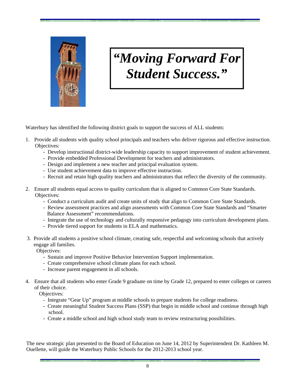

## *"Moving Forward For Student Success."*

Waterbury has identified the following district goals to support the success of ALL students:

- 1. Provide all students with quality school principals and teachers who deliver rigorous and effective instruction. Objectives:
	- Develop instructional district-wide leadership capacity to support improvement of student achievement.
	- Provide embedded Professional Development for teachers and administrators.
	- Design and implement a new teacher and principal evaluation system.
	- Use student achievement data to improve effective instruction.
	- Recruit and retain high quality teachers and administrators that reflect the diversity of the community.
- 2. Ensure all students equal access to quality curriculum that is aligned to Common Core State Standards. Objectives:
	- Conduct a curriculum audit and create units of study that align to Common Core State Standards.
	- Review assessment practices and align assessments with Common Core State Standards and "Smarter Balance Assessment" recommendations.
	- Integrate the use of technology and culturally responsive pedagogy into curriculum development plans.
	- Provide tiered support for students in ELA and mathematics.
- 3. Provide all students a positive school climate, creating safe, respectful and welcoming schools that actively engage all families.

Objectives:

- Sustain and improve Positive Behavior Intervention Support implementation.
- Create comprehensive school climate plans for each school.
- Increase parent engagement in all schools.
- 4. Ensure that all students who enter Grade 9 graduate on time by Grade 12, prepared to enter colleges or careers of their choice.

Objectives:

- Integrate "Gear Up" program at middle schools to prepare students for college readiness.
- Create meaningful Student Success Plans (SSP) that begin in middle school and continue through high school.
- Create a middle school and high school study team to review restructuring possibilities.

The new strategic plan presented to the Board of Education on June 14, 2012 by Superintendent Dr. Kathleen M. Ouellette, will guide the Waterbury Public Schools for the 2012-2013 school year.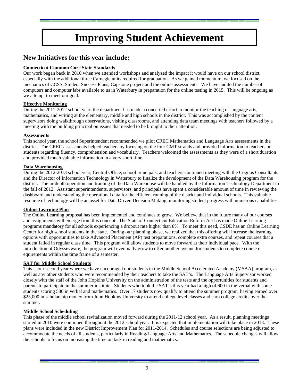## **Improving Student Achievement**

## **New Initiatives for this year include:**

## **Connecticut Common Core State Standards**

Our work began back in 2010 when we attended workshops and analyzed the impact it would have on our school district, especially with the additional three Carnegie units required for graduation. As we gained momentum, we focused on the mechanics of CCSS, Student Success Plans, Capstone project and the online assessments. We have audited the number of computers and computer labs available to us in Waterbury in preparation for the online testing in 2015. This will be ongoing as we attempt to meet our goal.

## **Effective Monitoring**

During the 2011-2012 school year, the department has made a concerted effort to monitor the teaching of language arts, mathematics, and writing at the elementary, middle and high schools in the district. This was accomplished by the content supervisors doing walkthrough observations, visiting classrooms, and attending data team meetings with teachers followed by a meeting with the building principal on issues that needed to be brought to their attention.

## **Assessments**

This school year, the school Superintendent recommended we pilot CREC Mathematics and Language Arts assessments in the district. The CREC assessments helped teachers by focusing on the four CMT strands and provided information to teachers on students regarding fluency, comprehension and vocabulary. Teachers welcomed the assessments as they were of a short duration and provided much valuable information in a very short time.

## **Data Warehousing**

During the 2012-2013 school year, Central Office, school principals, and teachers continued meeting with the Cognos Consultants and the Director of Information Technology in Waterbury to finalize the development of the Data Warehousing program for the district. The in-depth operation and training of the Data Warehouse will be handled by the Information Technology Department in the fall of 2012. Assistant superintendents, supervisors, and principals have spent a considerable amount of time in reviewing the dashboard and understanding the operational data for the efficient running of the district and individual schools. This valuable resource of technology will be an asset for Data Driven Decision Making, monitoring student progress with numerous capabilities.

### **Online Learning Plan**

The Online Learning proposal has been implemented and continues to grow. We believe that in the future many of our courses and assignments will emerge from this concept. The State of Connecticut Education Reform Act has made Online Learning programs mandatory for all schools experiencing a dropout rate higher than 8%. To meet this need, CSDE has an Online Learning Center for high school students in the state. During our planning phase, we realized that this offering will increase the learning options with opportunities to take Advanced Placement (AP) test preparations, complete extra courses, and repeat courses that a student failed in regular class time. This program will allow students to move forward at their individual pace. With the introduction of Odysseyware, the program will eventually grow to offer another avenue for students to complete course r equirements within the time frame of a semester.

### **SAT for Middle School Students**

This is our second year where we have encouraged our students in the Middle School Accelerated Academy (MSAA) program, as well as any other students who were recommended by their teachers to take the SAT's. The Language Arts Supervisor worked closely with the staff of the John Hopkins University on the administration of the tests and the opportunities for students and parents to participate in the summer institute. Students who took the SAT's this year had a high of 600 in the verbal with some students scoring 580 in verbal and mathematics. Over 17 students now qualify to attend the summer program, having earned over \$25,000 in scholarship money from John Hopkins University to attend college level classes and earn college credits over the summer.

## **Middle School Scheduling**

This phase of the middle school revitalization moved forward during the 2011-12 school year. As a result, planning meetings started in 2010 were continued throughout the 2012 school year. It is expected that implementation will take place in 2013. These plans were included in the new District Improvement Plan for 2011-2014. Schedules and course selections are being adjusted to accommodate the needs of all students, particularly in Reading/Language Arts and Mathematics. The schedule changes will allow the schools to focus on increasing the time on task in reading and mathematics.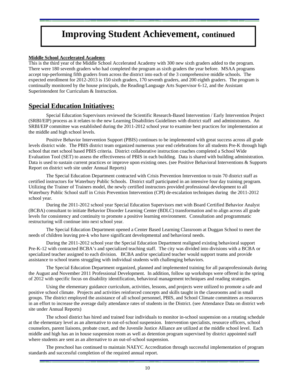## **Improving Student Achievement, continued**

### **Middle School Accelerated Academy**

This is the third year of the Middle School Accelerated Academy with 300 new sixth graders added to the program. There were 180 seventh graders who had completed the program as sixth graders the year before. MSAA programs accept top-performing fifth graders from across the district into each of the 3 comprehensive middle schools. The expected enrollment for 2012-2013 is 150 sixth graders, 170 seventh graders, and 200 eighth graders. The program is continually monitored by the house principals, the Reading/Language Arts Supervisor 6-12, and the Assistant Superintendent for Curriculum & Instruction.

## **Special Education Initiatives:**

Special Education Supervisors reviewed the Scientific Research-Based Intervention / Early Intervention Project (SRBI/EIP) process as it relates to the new Learning Disabilities Guidelines with district staff and administrators. An SRBI/EIP committee was established during the 2011-2012 school year to examine best practices for implementation at the middle and high school levels.

 Positive Behavior Intervention Support (PBIS) continues to be implemented with great success across all grade levels district wide. The PBIS district team organized numerous year end celebrations for all students Pre-K through high school that met school based PBIS criteria. District collaborative instruction coaches completed a School Wide Evaluation Tool (SET) to assess the effectiveness of PBIS in each building. Data is shared with building administration. Data is used to sustain current practices or improve upon existing ones. (see Positive Behavioral Interventions & Supports Report on district web site under Annual Reports)

 The Special Education Department contracted with Crisis Prevention Intervention to train 70 district staff as certified instructors for Waterbury Public Schools. District staff participated in an intensive four day training program. Utilizing the Trainer of Trainers model, the newly certified instructors provided professional development to all Waterbury Public School staff in Crisis Prevention Intervention (CPI) de-escalation techniques during the 2011-2012 school year.

 During the 2011-2012 school year Special Education Supervisors met with Board Certified Behavior Analyst (BCBA) consultant to initiate Behavior Disorder Learning Center (BDLC) transformation and to align across all grade levels for consistency and continuity to promote a positive learning environment. Consultation and programmatic restructuring will continue into next school year.

 The Special Education Department opened a Center Based Learning Classroom at Duggan School to meet the needs of children leaving pre-k who have significant developmental and behavioral needs.

 During the 2011-2012 school year the Special Education Department realigned existing behavioral support Pre-K-12 with contracted BCBA's and specialized teaching staff. The city was divided into divisions with a BCBA or specialized teacher assigned to each division. BCBA and/or specialized teacher would support teams and provide assistance to school teams struggling with individual students with challenging behaviors.

 The Special Education Department organized, planned and implemented training for all paraprofessionals during the August and November 2011 Professional Development. In addition, follow up workshops were offered in the spring of 2012 with specific focus on disability identification, behavioral management techniques and reading strategies.

 Using the elementary guidance curriculum, activities, lessons, and projects were utilized to promote a safe and positive school climate. Projects and activities reinforced concepts and skills taught in the classrooms and in small groups. The district employed the assistance of all school personnel, PBIS, and School Climate committees as resources in an effort to increase the average daily attendance rates of students in the District. (see Attendance Data on district web site under Annual Reports)

 The school district has hired and trained four individuals to monitor in-school suspension on a rotating schedule at the elementary level as an alternative to out-of-school suspension. Intervention specialists, resource officers, school counselors, parent liaisons, probate court, and the Juvenile Justice Alliance are utilized at the middle school level. Each middle and high has an in house suspension room as well as detention program supervised by district appointed staff where students are sent as an alternative to an out-of-school suspension.

 The preschool has continued to maintain NAEYC Accreditation through successful implementation of program standards and successful completion of the required annual report.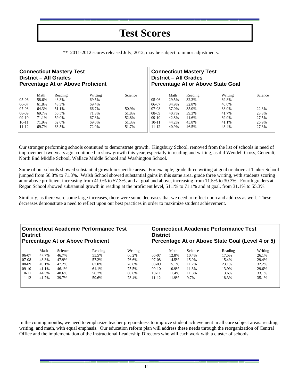## **Test Scores**

| <b>Connecticut Mastery Test</b><br><b>District - All Grades</b><br><b>Percentage At or Above Proficient</b> |       | <b>Connecticut Mastery Test</b><br><b>District - All Grades</b><br>Percentage At or Above State Goal |         |         |           |       |         |         |         |
|-------------------------------------------------------------------------------------------------------------|-------|------------------------------------------------------------------------------------------------------|---------|---------|-----------|-------|---------|---------|---------|
|                                                                                                             | Math  | Reading                                                                                              | Writing | Science |           | Math  | Reading | Writing | Science |
| 05-06                                                                                                       | 58.6% | 48.3%                                                                                                | 69.5%   |         | $05-06$   | 29.5% | 32.3%   | 39.8%   |         |
| 06-07                                                                                                       | 61.8% | 48.3%                                                                                                | 69.4%   |         | $06-07$   | 34.9% | 32.8%   | 40.0%   |         |
| 07-08                                                                                                       | 64.3% | 51.1%                                                                                                | 66.7%   | 50.9%   | $07-08$   | 37.0% | 35.0%   | 38.0%   | 22.3%   |
| 08-09                                                                                                       | 69.7% | 56.5%                                                                                                | 71.3%   | 51.8%   | $08-09$   | 40.7% | 39.3%   | 41.7%   | 23.3%   |
| 09-10                                                                                                       | 71.1% | 59.0%                                                                                                | 67.3%   | 52.8%   | $09-10$   | 42.8% | 41.6%   | 39.0%   | 27.5%   |
| $10 - 11$                                                                                                   | 71.9% | 62.0%                                                                                                | 69.0%   | 51.3%   | $10 - 11$ | 44.2% | 45.8%   | 41.1%   | 26.9%   |
| $11 - 12$                                                                                                   | 69.7% | 63.5%                                                                                                | 72.0%   | 51.7%   | $11 - 12$ | 40.9% | 46.5%   | 43.4%   | 27.3%   |

\*\* 2011-2012 scores released July, 2012, may be subject to minor adjustments.

Our stronger performing schools continued to demonstrate growth. Kingsbury School, removed from the list of schools in need of improvement two years ago, continued to show growth this year, especially in reading and writing, as did Wendell Cross, Generali, North End Middle School, Wallace Middle School and Washington School.

Some of our schools showed substantial growth in specific areas. For example, grade three writing at goal or above at Tinker School jumped from 56.8% to 71.3%. Walsh School showed substantial gains in this same area, grade three writing, with students scoring at or above proficient increasing from 41.0% to 57.3%, and at goal and above, increasing from 11.5% to 30.3%. Fourth graders at Regan School showed substantial growth in reading at the proficient level, 51.1% to 71.1% and at goal, from 31.1% to 55.3%.

Similarly, as there were some large increases, there were some decreases that we need to reflect upon and address as well. These decreases demonstrate a need to reflect upon our best practices in order to maximize student achievement.

| <b>Connecticut Academic Performance Test</b><br><b>District</b><br><b>Percentage At or Above Proficient</b> |       | <b>Connecticut Academic Performance Test</b><br><b>District</b><br>Percentage At or Above State Goal (Level 4 or 5) |         |         |           |       |         |         |         |
|-------------------------------------------------------------------------------------------------------------|-------|---------------------------------------------------------------------------------------------------------------------|---------|---------|-----------|-------|---------|---------|---------|
|                                                                                                             | Math  | Science                                                                                                             | Reading | Writing |           | Math  | Science | Reading | Writing |
| $06-07$                                                                                                     | 47.7% | 46.7%                                                                                                               | 55.5%   | 66.2%   | $06-07$   | 12.8% | 10.4%   | 17.5%   | 26.1%   |
| $07-08$                                                                                                     | 48.3% | 47.9%                                                                                                               | 57.2%   | 76.6%   | 07-08     | 14.5% | 15.0%   | 15.4%   | 29.4%   |
| 08-09                                                                                                       | 49.1% | 47.2%                                                                                                               | 67.0%   | 78.6%   | 08-09     | 15.1% | 11.7%   | 23.1%   | 32.2%   |
| $09-10$                                                                                                     | 41.1% | 46.1%                                                                                                               | 61.1%   | 75.5%   | $09-10$   | 10.9% | 11.3%   | 13.9%   | 29.6%   |
| $10 - 11$                                                                                                   | 44.5% | 48.6%                                                                                                               | 56.7%   | 80.6%   | $10 - 11$ | 11.4% | 11.6%   | 13.6%   | 33.1%   |
| $11 - 12$                                                                                                   | 41.7% | 39.7%                                                                                                               | 59.6%   | 78.4%   | $11 - 12$ | 11.9% | 9.7%    | 18.3%   | 35.1%   |
|                                                                                                             |       |                                                                                                                     |         |         |           |       |         |         |         |

In the coming months, we need to emphasize teacher preparedness to improve student achievement in all core subject areas: reading, writing, and math, with equal emphasis. Our education reform plan will address these needs through the reorganization of Central Office and the implementation of the Instructional Leadership Directors who will each work with a cluster of schools.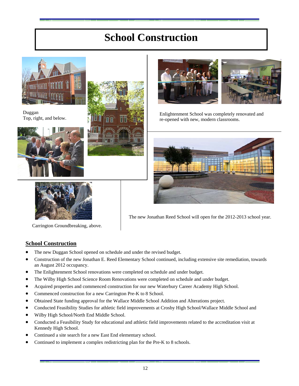## **School Construction**



Duggan







Duggan and below.<br>Top, right, and below.<br>Top, right, and below. re-opened with new, modern classrooms.



The new Jonathan Reed School will open for the 2012-2013 school year.



**School Construction**

- The new Duggan School opened on schedule and under the revised budget.
- Construction of the new Jonathan E. Reed Elementary School continued, including extensive site remediation, towards an August 2012 occupancy.
- The Enlightenment School renovations were completed on schedule and under budget.
- The Wilby High School Science Room Renovations were completed on schedule and under budget.
- Acquired properties and commenced construction for our new Waterbury Career Academy High School.
- Commenced construction for a new Carrington Pre-K to 8 School.
- Obtained State funding approval for the Wallace Middle School Addition and Alterations project.
- Conducted Feasibility Studies for athletic field improvements at Crosby High School/Wallace Middle School and
- Wilby High School/North End Middle School.
- Conducted a Feasibility Study for educational and athletic field improvements related to the accreditation visit at Kennedy High School.
- Continued a site search for a new East End elementary school.
- Continued to implement a complex redistricting plan for the Pre-K to 8 schools.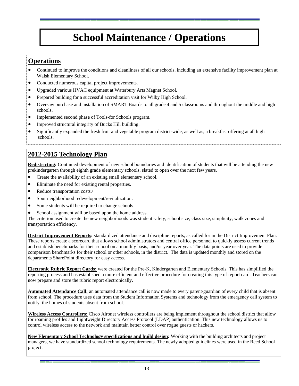## **School Maintenance / Operations**

## **Operations**

- Continued to improve the conditions and cleanliness of all our schools, including an extensive facility improvement plan at Walsh Elementary School.
- Conducted numerous capital project improvements.
- Upgraded various HVAC equipment at Waterbury Arts Magnet School.
- Prepared building for a successful accreditation visit for Wilby High School.
- Oversaw purchase and installation of SMART Boards to all grade 4 and 5 classrooms and throughout the middle and high schools.
- Implemented second phase of Tools-for Schools program.
- Improved structural integrity of Bucks Hill building.
- Significantly expanded the fresh fruit and vegetable program district-wide, as well as, a breakfast offering at all high schools.

## **2012-2015 Technology Plan**

**Redistricting:** Continued development of new school boundaries and identification of students that will be attending the new prekindergarten through eighth grade elementary schools, slated to open over the next few years.

- Create the availability of an existing small elementary school.
- Eliminate the need for existing rental properties.
- Reduce transportation costs.
- Spur neighborhood redevelopment/revitalization.
- Some students will be required to change schools.
- School assignment will be based upon the home address.

The criterion used to create the new neighborhoods was student safety, school size, class size, simplicity, walk zones and transportation efficiency.

**District Improvement Reports:** standardized attendance and discipline reports, as called for in the District Improvement Plan. These reports create a scorecard that allows school administrators and central office personnel to quickly assess current trends and establish benchmarks for their school on a monthly basis, and/or year over year. The data points are used to provide comparison benchmarks for their school or other schools, in the district. The data is updated monthly and stored on the departments SharePoint directory for easy access.

**Electronic Rubric Report Cards:** were created for the Pre-K, Kindergarten and Elementary Schools. This has simplified the reporting process and has established a more efficient and effective procedure for creating this type of report card. Teachers can now prepare and store the rubric report electronically.

**Automated Attendance Call:** an automated attendance call is now made to every parent/guardian of every child that is absent from school. The procedure uses data from the Student Information Systems and technology from the emergency call system to notify the homes of students absent from school.

**Wireless Access Controllers:** Cisco Aironet wireless controllers are being implement throughout the school district that allow for roaming profiles and Lightweight Directory Access Protocol (LDAP) authentication. This new technology allows us to control wireless access to the network and maintain better control over rogue guests or hackers.

**New Elementary School Technology specifications and build design:** Working with the building architects and project managers, we have standardized school technology requirements. The newly adopted guidelines were used in the Reed School project.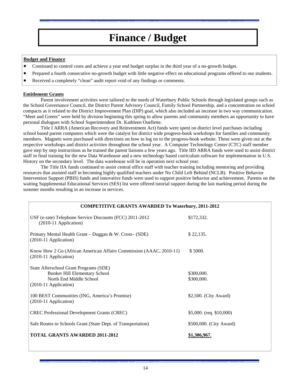## **Finance / Budget**

### **Budget and Finance**

- Continued to control costs and achieve a year end budget surplus in the third year of a no-growth budget.
- Prepared a fourth consecutive no-growth budget with little negative effect on educational programs offered to our students.
- Received a completely "clean" audit report void of any findings or comments.

### **Entitlement Grants**

 Parent involvement activities were tailored to the needs of Waterbury Public Schools through legislated groups such as the School Governance Council, the District Parent Advisory Council, Family School Partnership, and a concentration on school compacts as it related to the District Improvement Plan (DIP) goal, which also included an increase in two way communication. "Meet and Greets" were held by division beginning this spring to allow parents and community members an opportunity to have personal dialogues with School Superintendent Dr. Kathleen Ouellette.

 Title I ARRA (American Recovery and Reinvestment Act) funds were spent on district level purchases including school based parent computers which were the catalyst for district wide progress-book workshops for families and community members. Magnets were purchased with directions on how to log on to the progress-book website. These were given out at the respective workshops and district activities throughout the school year. A Computer Technology Center (CTC) staff member gave step by step instructions as he trained the parent liaisons a few years ago. Title IID ARRA funds were used to assist district staff in final training for the new Data Warehouse and a new technology based curriculum software for implementation in U.S. History on the secondary level. The data warehouse will be in operation next school year.

 The Title IIA funds continued to assist central office staff with teacher training including mentoring and providing resources that assisted staff in becoming highly qualified teachers under No Child Left Behind (NCLB). Positive Behavior Intervention Support (PBIS) funds and innovative funds were used to support positive behavior and achievement. Parents on the waiting Supplemental Educational Services (SES) list were offered tutorial support during the last marking period during the summer months resulting in an increase in services.

| <b>COMPETITIVE GRANTS AWARDED To Waterbury, 2011-2012</b>                                                                            |                             |  |  |  |
|--------------------------------------------------------------------------------------------------------------------------------------|-----------------------------|--|--|--|
| USF (e-rate) Telephone Service Discounts (FCC) 2011-2012<br>(2010-11 Application)                                                    | \$172,332.                  |  |  |  |
| Primary Mental Health Grant – Duggan & W. Cross– (SDE)<br>(2010-11 Application)                                                      | \$22,135.                   |  |  |  |
| Know How 2 Go (African American Affairs Commission (AAAC, 2010-11)<br>$(2010-11$ Application)                                        | \$5000.                     |  |  |  |
| State Afterschool Grant Programs (SDE)<br><b>Bunker Hill Elementary School</b><br>North End Middle School<br>$(2010-11$ Application) | \$300,000.<br>\$300,000.    |  |  |  |
| 100 BEST Communities (ING, America's Promise)<br>$(2010-11$ Application)                                                             | \$2,500. (City Award)       |  |  |  |
| <b>CREC</b> Professional Development Grants (CREC)                                                                                   | $$5,000.$ (req. $$10,000$ ) |  |  |  |
| Safe Routes to Schools Grant (State Dept. of Transportation)                                                                         | \$500,000. (City Award)     |  |  |  |
| <b>TOTAL GRANTS AWARDED 2011-2012</b>                                                                                                | \$1,306,967.                |  |  |  |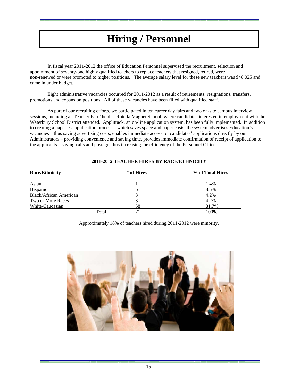## **Hiring / Personnel**

In fiscal year 2011-2012 the office of Education Personnel supervised the recruitment, selection and appointment of seventy-one highly qualified teachers to replace teachers that resigned, retired, were non-renewed or were promoted to higher positions. The average salary level for these new teachers was \$48,025 and came in under budget.

Eight administrative vacancies occurred for 2011-2012 as a result of retirements, resignations, transfers, promotions and expansion positions. All of these vacancies have been filled with qualified staff.

As part of our recruiting efforts, we participated in ten career day fairs and two on-site campus interview sessions, including a "Teacher Fair" held at Rotella Magnet School, where candidates interested in employment with the Waterbury School District attended. Applitrack, an on-line application system, has been fully implemented. In addition to creating a paperless application process – which saves space and paper costs, the system advertises Education's vacancies – thus saving advertising costs, enables immediate access to candidates' applications directly by our Administrators – providing convenience and saving time, provides immediate confirmation of receipt of application to the applicants – saving calls and postage, thus increasing the efficiency of the Personnel Office.

## **2011-2012 TEACHER HIRES BY RACE/ETHNICITY**

| <b>Race/Ethnicity</b>  |       | # of Hires | % of Total Hires |  |
|------------------------|-------|------------|------------------|--|
| Asian                  |       |            | 1.4%             |  |
| Hispanic               |       | 6          | 8.5%             |  |
| Black/African American |       | 3          | 4.2%             |  |
| Two or More Races      |       |            | 4.2%             |  |
| White/Caucasian        |       | 58         | 81.7%            |  |
|                        | Total |            | 100%             |  |

Approximately 18% of teachers hired during 2011-2012 were minority.

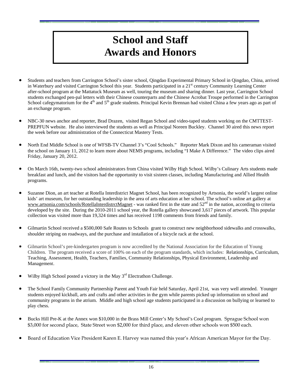## **School and Staff Awards and Honors**

- Students and teachers from Carrington School's sister school, Qingdao Experimental Primary School in Qingdao, China, arrived in Waterbury and visited Carrington School this year. Students participated in a  $21<sup>st</sup>$  century Community Learning Center after-school program at the Mattatuck Museum as well, touring the museum and sharing dinner. Last year, Carrington School students exchanged pen-pal letters with their Chinese counterparts and the Chinese Acrobat Troupe performed in the Carrington School cafegymatorium for the  $4<sup>th</sup>$  and  $5<sup>th</sup>$  grade students. Principal Kevin Brennan had visited China a few years ago as part of an exchange program.
- NBC-30 news anchor and reporter, Brad Drazen, visited Regan School and video-taped students working on the CMTTEST-PREPFUN website. He also interviewed the students as well as Principal Noreen Buckley. Channel 30 aired this news report the week before our administration of the Connecticut Mastery Tests.
- North End Middle School is one of WFSB-TV Channel 3's "Cool Schools." Reporter Mark Dixon and his cameraman visited the school on January 11, 2012 to learn more about NEMS programs, including "I Make A Difference." The video clips aired Friday, January 20, 2012.
- On March 16th, twenty-two school administrators from China visited Wilby High School. Wilby's Culinary Arts students made breakfast and lunch, and the visitors had the opportunity to visit sixteen classes, including Manufacturing and Allied Health programs.
- Suzanne Dion, an art teacher at Rotella Interdistrict Magnet School, has been recognized by Artsonia, the world's largest online kids' art museum, for her outstanding leadership in the area of arts education at her school. The school's online art gallery at www.artsonia.com/schools/RotellaInterdistrctMagnet - was ranked first in the state and  $52<sup>nd</sup>$  in the nation, according to criteria developed by the site. During the 2010-2011 school year, the Rotella gallery showcased 3,617 pieces of artwork. This popular collection was visited more than 19,324 times and has received 1198 comments from friends and family.
- Gilmartin School received a \$500,000 Safe Routes to Schools grant to construct new neighborhood sidewalks and crosswalks, shoulder striping on roadways, and the purchase and installation of a bicycle rack at the school.
- Gilmartin School's pre-kindergarten program is now accredited by the National Association for the Education of Young Children. The program received a score of 100% on each of the program standards, which includes: Relationships, Curriculum, Teaching, Assessment, Health, Teachers, Families, Community Relationships, Physical Environment, Leadership and Management.
- Wilby High School posted a victory in the May  $3<sup>rd</sup>$  Electrathon Challenge.
- The School Family Community Partnership Parent and Youth Fair held Saturday, April 21st, was very well attended. Younger students enjoyed kickball, arts and crafts and other activities in the gym while parents picked up information on school and community programs in the atrium. Middle and high school age students participated in a discussion on bullying or learned to play chess.
- Bucks Hill Pre-K at the Annex won \$10,000 in the Brass Mill Center's My School's Cool program. Sprague School won \$3,000 for second place, State Street won \$2,000 for third place, and eleven other schools won \$500 each.
- Board of Education Vice President Karen E. Harvey was named this year's African American Mayor for the Day.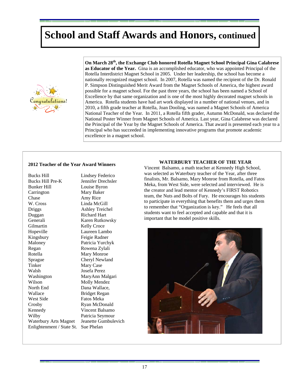## **School and Staff Awards and Honors, continued**



**On March 28th, the Exchange Club honored Rotella Magnet School Principal Gina Calabrese as Educator of the Year.** Gina is an accomplished educator, who was appointed Principal of the Rotella Interdistrict Magnet School in 2005. Under her leadership, the school has become a nationally recognized magnet school. In 2007, Rotella was named the recipient of the Dr. Ronald P. Simpson Distinguished Merit Award from the Magnet Schools of America, the highest award possible for a magnet school. For the past three years, the school has been named a School of Excellence by that same organization and is one of the most highly decorated magnet schools in America. Rotella students have had art work displayed in a number of national venues, and in 2010, a fifth grade teacher at Rotella, Joan Dooling, was named a Magnet Schools of America National Teacher of the Year. In 2011, a Rotella fifth grader, Autumn McDonald, was declared the National Poster Winner from Magnet Schools of America. Last year, Gina Calabrese was declared the Principal of the Year by the Magnet Schools of America. That award is presented each year to a Principal who has succeeded in implementing innovative programs that promote academic excellence in a magnet school.

#### **2012 Teacher of the Year Award Winners**

Bucks Hill Lindsey Federico Bucks Hill Pre-K Jennifer Drechsler Bunker Hill Louise Byron Carrington Mary Baker Chase Amy Rice W. Cross Linda McGill Driggs Ashley Treichel Duggan Richard Hart Generali Karen Rutkowsky Gilmartin Kelly Croce Hopeville Laureen Lambo Kingsbury Feigie Radner Maloney Patricia Yurchyk Regan Rowena Zylali Rotella Mary Monroe Sprague Cheryl Newland Tinker Mary Case Walsh Josefa Perez Washington MaryAnn Malgari Wilson Molly Mendez North End Dana Wallace, Wallace Bridget Regan West Side Fatos Meka Crosby Ryan McDonald Kennedy Vincent Balsamo Wilby Patricia Seymour Waterbury Arts Magnet Jeanette Gumbulevich Enlightenment / State St. Sue Phelan

#### **WATERBURY TEACHER OF THE YEAR**

Vincent Balsamo, a math teacher at Kennedy High School, was selected as Waterbury teacher of the Year, after three finalists, Mr. Balsamo, Mary Monroe from Rotella, and Fatos Meka, from West Side, were selected and interviewed. He is the creator and lead mentor of Kennedy's FIRST Robotics team, the Nuts and Bolts of Fury. He encourages his students to participate in everything that benefits them and urges them to remember that "Organization is key." He feels that all students want to feel accepted and capable and that it is important that he model positive skills.

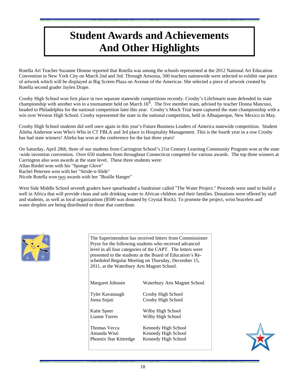## **Student Awards and Achievements And Other Highlights**

Rotella Art Teacher Suzanne Dionne reported that Rotella was among the schools represented at the 2012 National Art Education Convention in New York City on March 2nd and 3rd. Through Artsonia, 500 teachers nationwide were selected to exhibit one piece of artwork which will be displayed at Big Screen Plaza on Avenue of the Americas. She selected a piece of artwork created by Rotella second grader Jaylen Drape.

Crosby High School won first place in two separate statewide competitions recently. Crosby's LifeSmarts team defended its state championship with another win in a tournament held on March  $16<sup>th</sup>$ . The five member team, advised by teacher Donna Mancuso, headed to Philadelphia for the national competition later this year. Crosby's Mock Trial team captured the state championship with a win over Weston High School. Crosby represented the state in the national competition, held in Albuquerque, New Mexico in May.

Crosby High School students did well once again in this year's Future Business Leaders of America statewide competition. Student Alieha Anderson won Who's Who in CT FBLA and 3rd place in Hospitality Management. This is the fourth year in a row Crosby has had state winners! Alieha has won at the conference for the last three years!

On Saturday, April 28th, three of our students from Carrington School's 21st Century Learning Community Program won at the state -wide invention convention. Over 650 students from throughout Connecticut competed for various awards. The top three winners at Carrington also won awards at the state level. These three students were:

Allan Riedel won with his "Sponge Glove"

Rachel Petersen won with her "Stride-n-Slide"

Nicole Rotella won two awards with her "Braille Hanger"

West Side Middle School seventh graders have spearheaded a fundraiser called "The Water Project." Proceeds were used to build a well in Africa that will provide clean and safe drinking water to African children and their families. Donations were offered by staff and students, as well as local organizations (\$500 was donated by Crystal Rock). To promote the project, wrist bracelets and' water droplets are being distributed to those that contribute.



The Superintendent has received letters from Commissioner Pryor for the following students who received advanced level in all four categories of the CAPT. The letters were presented to the students at the Board of Education's Rescheduled Regular Meeting on Thursday, December 15, 2011, at the Waterbury Arts Magnet School.

| Margaret Johnsen       | Waterbury Arts Magnet School |
|------------------------|------------------------------|
| Tyler Kavanaugh        | Crosby High School           |
| Jorna Sojati           | Crosby High School           |
| Katie Speer            | Wilby High School            |
| Lianne Torres          | Wilby High School            |
| Thomas Vecca           | Kennedy High School          |
| Amanda Wisti           | Kennedy High School          |
| Phoenix Star Kittredge | Kennedy High School          |

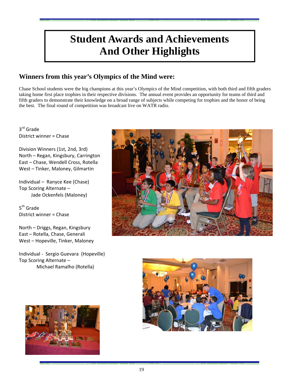## **Student Awards and Achievements And Other Highlights**

## **Winners from this year's Olympics of the Mind were:**

Chase School students were the big champions at this year's Olympics of the Mind competition, with both third and fifth graders taking home first place trophies in their respective divisions. The annual event provides an opportunity for teams of third and fifth graders to demonstrate their knowledge on a broad range of subjects while competing for trophies and the honor of being the best. The final round of competition was broadcast live on WATR radio.

3rd Grade District winner = Chase

Division Winners (1st, 2nd, 3rd) North – Regan, Kingsbury, Carrington East – Chase, Wendell Cross, Rotella West – Tinker, Maloney, Gilmartin

Individual – Ranyce Kee (Chase) Top Scoring Alternate – Jade Ockenfels (Maloney)

5<sup>th</sup> Grade District winner = Chase

North – Driggs, Regan, Kingsbury East – Rotella, Chase, Generali West – Hopeville, Tinker, Maloney

Individual ‐ Sergio Guevara (Hopeville) Top Scoring Alternate – Michael Ramalho (Rotella)





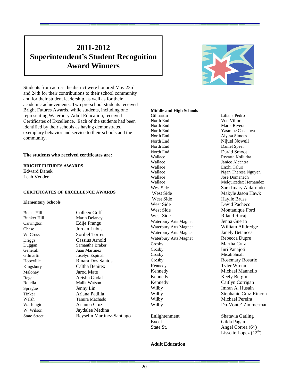## **2011-2012 Superintendent's Student Recognition Award Winners**



Students from across the district were honored May 23rd and 24th for their contributions to their school community and for their student leadership, as well as for their academic achievements. Two pre-school students received Bright Futures Awards, while students, including one representing Waterbury Adult Education, received Certificates of Excellence. Each of the students had been identified by their schools as having demonstrated exemplary behavior and service to their schools and the community.

#### **The students who received certificates are:**

#### **BRIGHT FUTURES AWARDS**

Edward Danek Leah Vedder

#### **CERTIFICATES OF EXCELLENCE AWARDS**

#### **Elementary Schools**

Maloney **Jarod Mate** Sprague Jenny Lin

Bucks Hill Colleen Goff Bunker Hill Marin Delaney Carrington Edije Frangu Chase Jordan Lubus W. Cross Soribel Torres Driggs Cassius Arnold Duggan Samantha Braker Generali Juan Martinez Gilmartin Joselyn Espinal Hopeville Rinara Dos Santos Kingsbury Caltha Benitex Regan Aeisha Gudaf Rotella Malik Watson Tinker Ariana Padilla Walsh Tamira Machado Washington Arianna Cruz W. Wilson Jaydalee Medina State Street Reyselin Martinez-Santiago **Middle and High Schools**  Gilmartin Liliana Pedro North End Vod Vilfort North End Maria Rivera North End Yasmine Casanova North End Alyssa Simoes North End Nijuel Nowell North End Daniel Speer North End David Smoot Wallace Rezarta Kolludra Wallace **Janice Alcantra** Wallace Enxhi Taluri Wallace Ngan Theresa Nguyen Wallace **Jose Domenech** Wallace Melquicedex Hernandez West Side Sara Imary Aldarondo West Side Makyle Jason Hawk West Side Haylie Bruss West Side David Pacheco West Side Montanique Ford West Side Riland Racaj Waterbury Arts Magnet Jenna Guerin Waterbury Arts Magnet William Alldredge Waterbury Arts Magnet Janely Betances Waterbury Arts Magnet Rebecca Dupre Crosby Martha Cruz Crosby Inri Panajoti Crosby Rosemary Rosario Kennedy Tyler Wrenn Kennedy Michael Mannello Kennedy Keely Bergin Kennedy Caitlyn Corrigan Wilby **Imran A. Husain** Wilby Michael Pereira Enlightenment Shatavia Gatling Excel Gilda Pagan

Micah Small Wilby Stephanie Cruz-Rincon Wilby Du-Vonte' Zimmerman

State St.  $\qquad \qquad \text{Angle Correa } (6^{th})$ Lissette Lopez  $(12<sup>th</sup>)$ 

### **Adult Education**